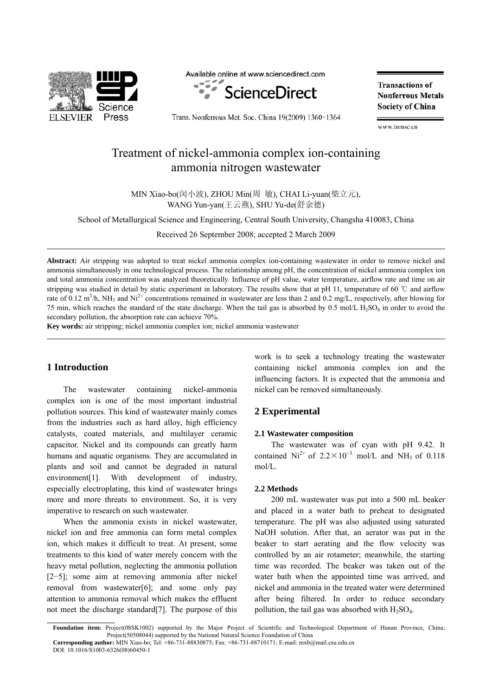

Available online at www.sciencedirect.com



Trans. Nonferrous Met. Soc. China 19(2009) 1360-1364

**Transactions of Nonferrous Metals Society of China** 

www.tnmsc.cn

Treatment of nickel-ammonia complex ion-containing ammonia nitrogen wastewater

MIN Xiao-bo(闵小波), ZHOU Min(周 敏), CHAI Li-yuan(柴立元), WANG Yun-yan(王云燕), SHU Yu-de(舒余德)

School of Metallurgical Science and Engineering, Central South University, Changsha 410083, China

Received 26 September 2008; accepted 2 March 2009

**Abstract:** Air stripping was adopted to treat nickel ammonia complex ion-containing wastewater in order to remove nickel and ammonia simultaneously in one technological process. The relationship among pH, the concentration of nickel ammonia complex ion and total ammonia concentration was analyzed theoretically. Influence of pH value, water temperature, airflow rate and time on air stripping was studied in detail by static experiment in laboratory. The results show that at pH 11, temperature of 60 ℃ and airflow rate of 0.12 m<sup>3</sup>/h, NH<sub>3</sub> and Ni<sup>2+</sup> concentrations remained in wastewater are less than 2 and 0.2 mg/L, respectively, after blowing for 75 min, which reaches the standard of the state discharge. When the tail gas is absorbed by  $0.5$  mol/L H<sub>2</sub>SO<sub>4</sub> in order to avoid the secondary pollution, the absorption rate can achieve 70%.

**Key words:** air stripping; nickel ammonia complex ion; nickel ammonia wastewater

# **1 Introduction**

l

֦

l

The wastewater containing nickel-ammonia complex ion is one of the most important industrial pollution sources. This kind of wastewater mainly comes from the industries such as hard alloy, high efficiency catalysts, coated materials, and multilayer ceramic capacitor. Nickel and its compounds can greatly harm humans and aquatic organisms. They are accumulated in plants and soil and cannot be degraded in natural environment<sup>[1]</sup>. With development of industry, especially electroplating, this kind of wastewater brings more and more threats to environment. So, it is very imperative to research on such wastewater.

When the ammonia exists in nickel wastewater, nickel ion and free ammonia can form metal complex ion, which makes it difficult to treat. At present, some treatments to this kind of water merely concern with the heavy metal pollution, neglecting the ammonia pollution [2−5]; some aim at removing ammonia after nickel removal from wastewater[6]; and some only pay attention to ammonia removal which makes the effluent not meet the discharge standard[7]. The purpose of this work is to seek a technology treating the wastewater containing nickel ammonia complex ion and the influencing factors. It is expected that the ammonia and nickel can be removed simultaneously.

## **2 Experimental**

### **2.1 Wastewater composition**

The wastewater was of cyan with pH 9.42. It contained Ni<sup>2+</sup> of  $2.2 \times 10^{-3}$  mol/L and NH<sub>3</sub> of 0.118 mol/L.

### **2.2 Methods**

200 mL wastewater was put into a 500 mL beaker and placed in a water bath to preheat to designated temperature. The pH was also adjusted using saturated NaOH solution. After that, an aerator was put in the beaker to start aerating and the flow velocity was controlled by an air rotameter; meanwhile, the starting time was recorded. The beaker was taken out of the water bath when the appointed time was arrived, and nickel and ammonia in the treated water were determined after being filtered. In order to reduce secondary pollution, the tail gas was absorbed with  $H_2SO_4$ .

Foundation item: Project(08SK1002) supported by the Major Project of Scientific and Technological Department of Hunan Province, China; Project(50508044) supported by the National Natural Science Foundation of China **Corresponding author:** MIN Xiao-bo; Tel: +86-731-88830875; Fax: +86-731-88710171; E-mail: mxb@mail.csu.edu.cn

DOI: 10.1016/S1003-6326(08)60450-1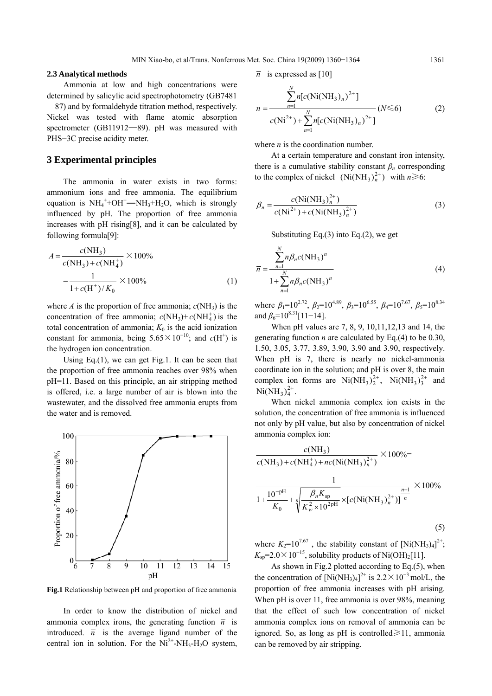### **2.3 Analytical methods**

Ammonia at low and high concentrations were determined by salicylic acid spectrophotometry (GB7481 —87) and by formaldehyde titration method, respectively. Nickel was tested with flame atomic absorption spectrometer (GB11912—89). pH was measured with PHS−3C precise acidity meter.

## **3 Experimental principles**

The ammonia in water exists in two forms: ammonium ions and free ammonia. The equilibrium  $\mu$  animonium ions and nee animonia. The equinonum<br>equation is  $NH_4^+ + OH^-$  =  $NH_3 + H_2O$ , which is strongly influenced by pH. The proportion of free ammonia increases with pH rising[8], and it can be calculated by following formula[9]:

$$
A = \frac{c(NH_3)}{c(NH_3) + c(NH_4^+)} \times 100\%
$$
  
= 
$$
\frac{1}{1 + c(H^+)/K_0} \times 100\%
$$
 (1)

where *A* is the proportion of free ammonia;  $c(NH_3)$  is the concentration of free ammonia;  $c(NH_3) + c(NH_4^+)$  is the total concentration of ammonia;  $K_0$  is the acid ionization constant for ammonia, being  $5.65 \times 10^{-10}$ ; and  $c(H<sup>+</sup>)$  is the hydrogen ion concentration.

Using Eq.(1), we can get Fig.1. It can be seen that the proportion of free ammonia reaches over 98% when pH=11. Based on this principle, an air stripping method is offered, i.e. a large number of air is blown into the wastewater, and the dissolved free ammonia erupts from the water and is removed.



**Fig.1** Relationship between pH and proportion of free ammonia

In order to know the distribution of nickel and ammonia complex irons, the generating function  $\overline{n}$  is introduced.  $\overline{n}$  is the average ligand number of the central ion in solution. For the  $Ni^{2+}$ -NH<sub>3</sub>-H<sub>2</sub>O system,

$$
\overline{n}
$$
 is expressed as [10]

$$
\overline{n} = \frac{\sum_{n=1}^{N} n[c(\text{Ni}(\text{NH}_3)_n)^{2+}]}{c(\text{Ni}^{2+}) + \sum_{n=1}^{N} n[c(\text{Ni}(\text{NH}_3)_n)^{2+}]} (N \le 6)
$$
(2)

where *n* is the coordination number.

At a certain temperature and constant iron intensity, there is a cumulative stability constant  $\beta_n$  corresponding to the complex of nickel  $(Ni(NH_3)_n^{2+})$  with  $n \ge 6$ :

$$
\beta_n = \frac{c(\text{Ni}(\text{NH}_3)_n^{2+})}{c(\text{Ni}^2+)+c(\text{Ni}(\text{NH}_3)_n^{2+})}
$$
(3)

Substituting Eq. $(3)$  into Eq. $(2)$ , we get

$$
\overline{n} = \frac{\sum_{n=1}^{N} n\beta_n c(NH_3)^n}{1 + \sum_{n=1}^{N} n\beta_n c(NH_3)^n}
$$
(4)

where  $\beta_1=10^{2.72}$ ,  $\beta_2=10^{4.89}$ ,  $\beta_3=10^{6.55}$ ,  $\beta_4=10^{7.67}$ ,  $\beta_5=10^{8.34}$ and  $\beta_6$ =10<sup>8.31</sup>[11−14].

When pH values are 7, 8, 9, 10,11,12,13 and 14, the generating function *n* are calculated by Eq.(4) to be 0.30, 1.50, 3.05, 3.77, 3.89, 3.90, 3.90 and 3.90, respectively. When pH is 7, there is nearly no nickel-ammonia coordinate ion in the solution; and pH is over 8, the main complex ion forms are  $Ni(NH_3)_2^{2+}$ ,  $Ni(NH_3)_3^{2+}$  and  $Ni(NH_3)_4^{2+}.$ 

When nickel ammonia complex ion exists in the solution, the concentration of free ammonia is influenced not only by pH value, but also by concentration of nickel ammonia complex ion:

$$
\frac{c(NH_3)}{c(NH_3) + c(NH_4^+) + nc(Ni(NH_3)_n^{2+})} \times 100\% =
$$
\n
$$
\frac{1}{1 + \frac{10^{-pH}}{K_0} + \sqrt[n]{\frac{\beta_n K_{sp}}{K_w^2 \times 10^{2pH}}} \times [c(Ni(NH_3)_n^{2+})]^{\frac{n-1}{n}}} \times 100\%
$$
\n(5)

where  $K_2=10^{7.67}$ , the stability constant of  $[Ni(NH_3)_4]^{2+}$ ;  $K_{\text{sp}}$ =2.0×10<sup>-15</sup>, solubility products of Ni(OH)<sub>2</sub>[11].

As shown in Fig.2 plotted according to Eq.(5), when the concentration of  $[Ni(NH_3)_4]^{2+}$  is 2.2×10<sup>-3</sup> mol/L, the proportion of free ammonia increases with pH arising. When pH is over 11, free ammonia is over 98%, meaning that the effect of such low concentration of nickel ammonia complex ions on removal of ammonia can be ignored. So, as long as pH is controlled $\geq 11$ , ammonia can be removed by air stripping.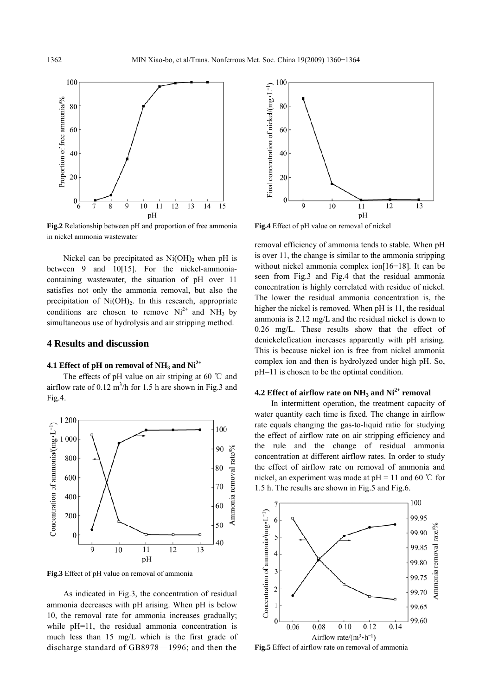

**Fig.2** Relationship between pH and proportion of free ammonia in nickel ammonia wastewater

Nickel can be precipitated as  $Ni(OH)_{2}$  when pH is between 9 and 10[15]. For the nickel-ammoniacontaining wastewater, the situation of pH over 11 satisfies not only the ammonia removal, but also the precipitation of  $Ni(OH)_{2}$ . In this research, appropriate conditions are chosen to remove  $Ni^{2+}$  and  $NH_3$  by simultaneous use of hydrolysis and air stripping method.

## **4 Results and discussion**

# **4.1 Effect of pH on removal of NH3 and Ni2+**

The effects of pH value on air striping at 60 ℃ and airflow rate of  $0.12 \text{ m}^3/\text{h}$  for 1.5 h are shown in Fig.3 and Fig.4.



**Fig.3** Effect of pH value on removal of ammonia

As indicated in Fig.3, the concentration of residual ammonia decreases with pH arising. When pH is below 10, the removal rate for ammonia increases gradually; while pH=11, the residual ammonia concentration is much less than 15 mg/L which is the first grade of discharge standard of GB8978—1996; and then the



**Fig.4** Effect of pH value on removal of nickel

removal efficiency of ammonia tends to stable. When pH is over 11, the change is similar to the ammonia stripping without nickel ammonia complex ion[16−18]. It can be seen from Fig.3 and Fig.4 that the residual ammonia concentration is highly correlated with residue of nickel. The lower the residual ammonia concentration is, the higher the nickel is removed. When pH is 11, the residual ammonia is 2.12 mg/L and the residual nickel is down to 0.26 mg/L. These results show that the effect of denickelefication increases apparently with pH arising. This is because nickel ion is free from nickel ammonia complex ion and then is hydrolyzed under high pH. So, pH=11 is chosen to be the optimal condition.

#### **4.2 Effect of airflow rate on**  $NH_3$  **and**  $Ni^{2+}$  **removal**

In intermittent operation, the treatment capacity of water quantity each time is fixed. The change in airflow rate equals changing the gas-to-liquid ratio for studying the effect of airflow rate on air stripping efficiency and the rule and the change of residual ammonia concentration at different airflow rates. In order to study the effect of airflow rate on removal of ammonia and nickel, an experiment was made at  $pH = 11$  and 60 °C for 1.5 h. The results are shown in Fig.5 and Fig.6.



**Fig.5** Effect of airflow rate on removal of ammonia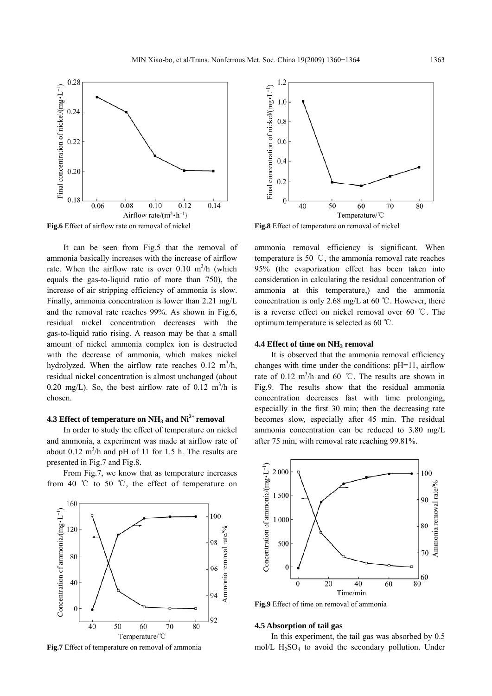

It can be seen from Fig.5 that the removal of

ammonia basically increases with the increase of airflow rate. When the airflow rate is over  $0.10 \text{ m}^3/\text{h}$  (which equals the gas-to-liquid ratio of more than 750), the increase of air stripping efficiency of ammonia is slow. Finally, ammonia concentration is lower than 2.21 mg/L and the removal rate reaches 99%. As shown in Fig.6, residual nickel concentration decreases with the gas-to-liquid ratio rising. A reason may be that a small amount of nickel ammonia complex ion is destructed with the decrease of ammonia, which makes nickel hydrolyzed. When the airflow rate reaches  $0.12 \text{ m}^3/\text{h}$ , residual nickel concentration is almost unchanged (about 0.20 mg/L). So, the best airflow rate of 0.12 m<sup>3</sup>/h is chosen.

## **4.3 Effect of temperature on NH3 and Ni2+ removal**

In order to study the effect of temperature on nickel and ammonia, a experiment was made at airflow rate of about 0.12  $m^3/h$  and pH of 11 for 1.5 h. The results are presented in Fig.7 and Fig.8.

From Fig.7, we know that as temperature increases from 40 °C to 50 °C, the effect of temperature on



**Fig.7** Effect of temperature on removal of ammonia



**Fig.8** Effect of temperature on removal of nickel

ammonia removal efficiency is significant. When temperature is 50  $\degree$ C, the ammonia removal rate reaches 95% (the evaporization effect has been taken into consideration in calculating the residual concentration of ammonia at this temperature,) and the ammonia concentration is only 2.68 mg/L at 60  $\degree$ C. However, there is a reverse effect on nickel removal over 60 ℃. The optimum temperature is selected as 60  $\degree$ C.

#### **4.4 Effect of time on NH3 removal**

It is observed that the ammonia removal efficiency changes with time under the conditions: pH=11, airflow rate of  $0.12 \text{ m}^3/\text{h}$  and  $60 \text{ °C}$ . The results are shown in Fig.9. The results show that the residual ammonia concentration decreases fast with time prolonging, especially in the first 30 min; then the decreasing rate becomes slow, especially after 45 min. The residual ammonia concentration can be reduced to 3.80 mg/L after 75 min, with removal rate reaching 99.81%.



**Fig.9** Effect of time on removal of ammonia

#### **4.5 Absorption of tail gas**

In this experiment, the tail gas was absorbed by 0.5 mol/L  $H<sub>2</sub>SO<sub>4</sub>$  to avoid the secondary pollution. Under